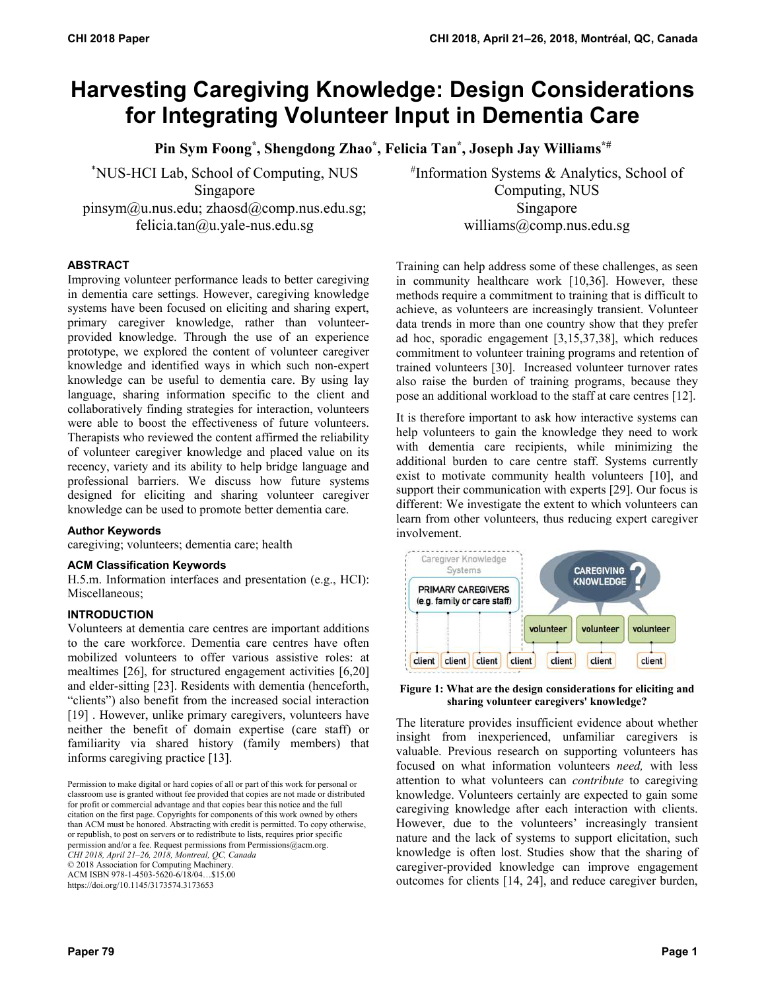# **Harvesting Caregiving Knowledge: Design Considerations for Integrating Volunteer Input in Dementia Care**

**Pin Sym Foong\*, Shengdong Zhao\*, Felicia Tan\*, Joseph Jay Williams\*#**

\* NUS-HCI Lab, School of Computing, NUS Singapore pinsym@u.nus.edu; zhaosd@comp.nus.edu.sg; felicia.tan $@u.yale-nus.edu.sg$ 

# Information Systems & Analytics, School of Computing, NUS Singapore williams@comp.nus.edu.sg

# **ABSTRACT**

Improving volunteer performance leads to better caregiving in dementia care settings. However, caregiving knowledge systems have been focused on eliciting and sharing expert, primary caregiver knowledge, rather than volunteerprovided knowledge. Through the use of an experience prototype, we explored the content of volunteer caregiver knowledge and identified ways in which such non-expert knowledge can be useful to dementia care. By using lay language, sharing information specific to the client and collaboratively finding strategies for interaction, volunteers were able to boost the effectiveness of future volunteers. Therapists who reviewed the content affirmed the reliability of volunteer caregiver knowledge and placed value on its recency, variety and its ability to help bridge language and professional barriers. We discuss how future systems designed for eliciting and sharing volunteer caregiver knowledge can be used to promote better dementia care.

# **Author Keywords**

caregiving; volunteers; dementia care; health

## **ACM Classification Keywords**

H.5.m. Information interfaces and presentation (e.g., HCI): Miscellaneous;

## **INTRODUCTION**

Volunteers at dementia care centres are important additions to the care workforce. Dementia care centres have often mobilized volunteers to offer various assistive roles: at mealtimes [26], for structured engagement activities [6,20] and elder-sitting [23]. Residents with dementia (henceforth, "clients") also benefit from the increased social interaction [19] . However, unlike primary caregivers, volunteers have neither the benefit of domain expertise (care staff) or familiarity via shared history (family members) that informs caregiving practice [13].

Permission to make digital or hard copies of all or part of this work for personal or classroom use is granted without fee provided that copies are not made or distributed for profit or commercial advantage and that copies bear this notice and the full citation on the first page. Copyrights for components of this work owned by others than ACM must be honored. Abstracting with credit is permitted. To copy otherwise, or republish, to post on servers or to redistribute to lists, requires prior specific permission and/or a fee. Request permissions from Permissions@acm.org. *CHI 2018, April 21–26, 2018, Montreal, QC, Canada*  © 2018 Association for Computing Machinery. ACM ISBN 978-1-4503-5620-6/18/04…\$15.00

https://doi.org/10.1145/3173574.3173653

Training can help address some of these challenges, as seen in community healthcare work [10,36]. However, these methods require a commitment to training that is difficult to achieve, as volunteers are increasingly transient. Volunteer data trends in more than one country show that they prefer ad hoc, sporadic engagement [3,15,37,38], which reduces commitment to volunteer training programs and retention of trained volunteers [30]. Increased volunteer turnover rates also raise the burden of training programs, because they pose an additional workload to the staff at care centres [12].

It is therefore important to ask how interactive systems can help volunteers to gain the knowledge they need to work with dementia care recipients, while minimizing the additional burden to care centre staff. Systems currently exist to motivate community health volunteers [10], and support their communication with experts [29]. Our focus is different: We investigate the extent to which volunteers can learn from other volunteers, thus reducing expert caregiver involvement.



**Figure 1: What are the design considerations for eliciting and sharing volunteer caregivers' knowledge?**

The literature provides insufficient evidence about whether insight from inexperienced, unfamiliar caregivers is valuable. Previous research on supporting volunteers has focused on what information volunteers *need,* with less attention to what volunteers can *contribute* to caregiving knowledge. Volunteers certainly are expected to gain some caregiving knowledge after each interaction with clients. However, due to the volunteers' increasingly transient nature and the lack of systems to support elicitation, such knowledge is often lost. Studies show that the sharing of caregiver-provided knowledge can improve engagement outcomes for clients [14, 24], and reduce caregiver burden,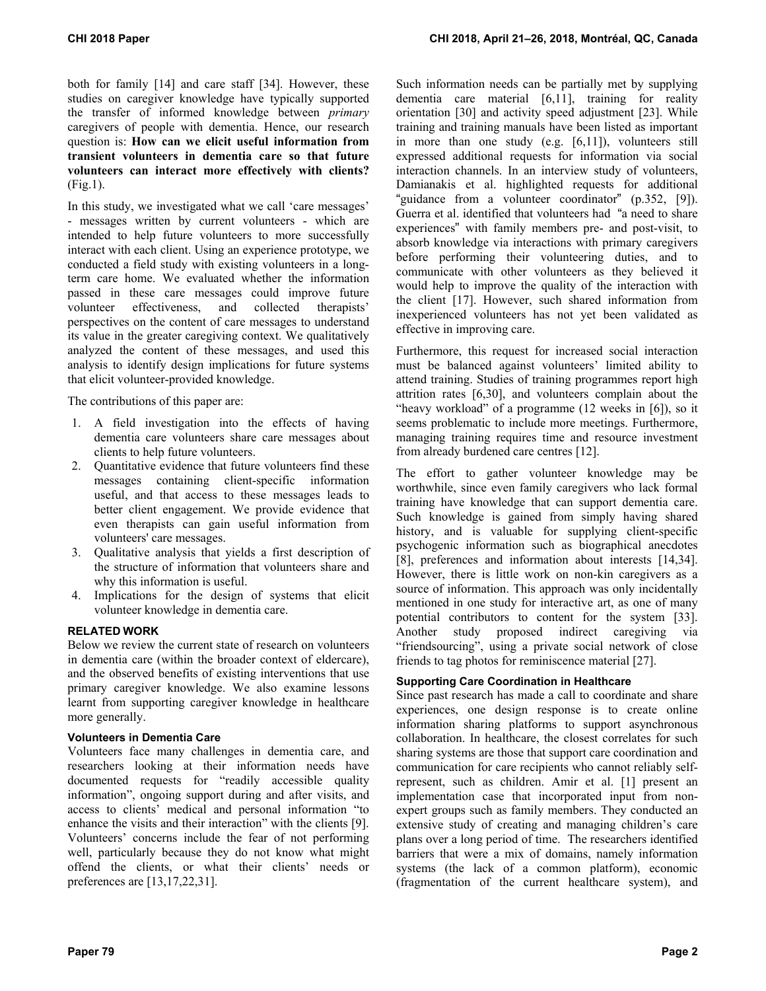both for family [14] and care staff [34]. However, these studies on caregiver knowledge have typically supported the transfer of informed knowledge between *primary*  caregivers of people with dementia. Hence, our research question is: **How can we elicit useful information from transient volunteers in dementia care so that future volunteers can interact more effectively with clients?** (Fig.1).

In this study, we investigated what we call 'care messages' - messages written by current volunteers - which are intended to help future volunteers to more successfully interact with each client. Using an experience prototype, we conducted a field study with existing volunteers in a longterm care home. We evaluated whether the information passed in these care messages could improve future volunteer effectiveness, and collected therapists' perspectives on the content of care messages to understand its value in the greater caregiving context. We qualitatively analyzed the content of these messages, and used this analysis to identify design implications for future systems that elicit volunteer-provided knowledge.

The contributions of this paper are:

- 1. A field investigation into the effects of having dementia care volunteers share care messages about clients to help future volunteers.
- 2. Quantitative evidence that future volunteers find these messages containing client-specific information useful, and that access to these messages leads to better client engagement. We provide evidence that even therapists can gain useful information from volunteers' care messages.
- 3. Qualitative analysis that yields a first description of the structure of information that volunteers share and why this information is useful.
- 4. Implications for the design of systems that elicit volunteer knowledge in dementia care.

# **RELATED WORK**

Below we review the current state of research on volunteers in dementia care (within the broader context of eldercare), and the observed benefits of existing interventions that use primary caregiver knowledge. We also examine lessons learnt from supporting caregiver knowledge in healthcare more generally.

# **Volunteers in Dementia Care**

Volunteers face many challenges in dementia care, and researchers looking at their information needs have documented requests for "readily accessible quality information", ongoing support during and after visits, and access to clients' medical and personal information "to enhance the visits and their interaction" with the clients [9]. Volunteers' concerns include the fear of not performing well, particularly because they do not know what might offend the clients, or what their clients' needs or preferences are [13,17,22,31].

Such information needs can be partially met by supplying dementia care material [6,11], training for reality orientation [30] and activity speed adjustment [23]. While training and training manuals have been listed as important in more than one study (e.g. [6,11]), volunteers still expressed additional requests for information via social interaction channels. In an interview study of volunteers, Damianakis et al. highlighted requests for additional "guidance from a volunteer coordinator" (p.352, [9]). Guerra et al. identified that volunteers had "a need to share experiences" with family members pre- and post-visit, to absorb knowledge via interactions with primary caregivers before performing their volunteering duties, and to communicate with other volunteers as they believed it would help to improve the quality of the interaction with the client [17]. However, such shared information from inexperienced volunteers has not yet been validated as effective in improving care.

Furthermore, this request for increased social interaction must be balanced against volunteers' limited ability to attend training. Studies of training programmes report high attrition rates [6,30], and volunteers complain about the "heavy workload" of a programme (12 weeks in [6]), so it seems problematic to include more meetings. Furthermore, managing training requires time and resource investment from already burdened care centres [12].

The effort to gather volunteer knowledge may be worthwhile, since even family caregivers who lack formal training have knowledge that can support dementia care. Such knowledge is gained from simply having shared history, and is valuable for supplying client-specific psychogenic information such as biographical anecdotes [8], preferences and information about interests [14,34]. However, there is little work on non-kin caregivers as a source of information. This approach was only incidentally mentioned in one study for interactive art, as one of many potential contributors to content for the system [33]. Another study proposed indirect caregiving via "friendsourcing", using a private social network of close friends to tag photos for reminiscence material [27].

# **Supporting Care Coordination in Healthcare**

Since past research has made a call to coordinate and share experiences, one design response is to create online information sharing platforms to support asynchronous collaboration. In healthcare, the closest correlates for such sharing systems are those that support care coordination and communication for care recipients who cannot reliably selfrepresent, such as children. Amir et al. [1] present an implementation case that incorporated input from nonexpert groups such as family members. They conducted an extensive study of creating and managing children's care plans over a long period of time. The researchers identified barriers that were a mix of domains, namely information systems (the lack of a common platform), economic (fragmentation of the current healthcare system), and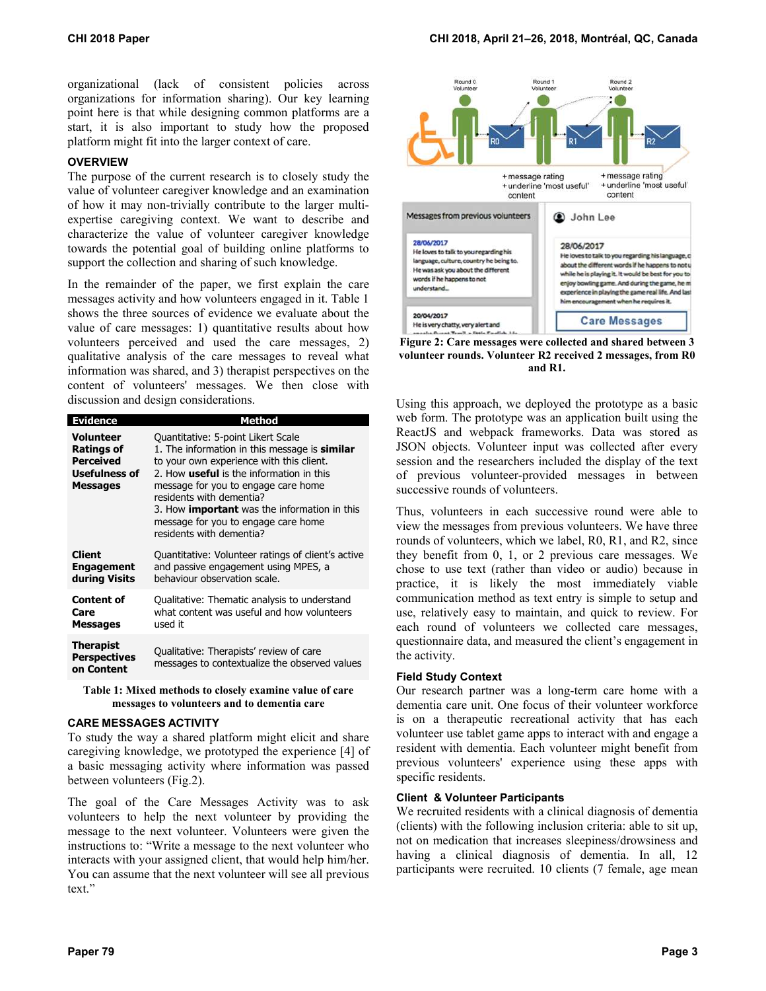organizational (lack of consistent policies across organizations for information sharing). Our key learning point here is that while designing common platforms are a start, it is also important to study how the proposed platform might fit into the larger context of care.

# **OVERVIEW**

The purpose of the current research is to closely study the value of volunteer caregiver knowledge and an examination of how it may non-trivially contribute to the larger multiexpertise caregiving context. We want to describe and characterize the value of volunteer caregiver knowledge towards the potential goal of building online platforms to support the collection and sharing of such knowledge.

In the remainder of the paper, we first explain the care messages activity and how volunteers engaged in it. Table 1 shows the three sources of evidence we evaluate about the value of care messages: 1) quantitative results about how volunteers perceived and used the care messages, 2) qualitative analysis of the care messages to reveal what information was shared, and 3) therapist perspectives on the content of volunteers' messages. We then close with discussion and design considerations.

| <b>Evidence</b>                                                                 | Method                                                                                                                                                                                                                                                                                                                                                                          |
|---------------------------------------------------------------------------------|---------------------------------------------------------------------------------------------------------------------------------------------------------------------------------------------------------------------------------------------------------------------------------------------------------------------------------------------------------------------------------|
| Volunteer<br><b>Ratings of</b><br>Perceived<br>Usefulness of<br><b>Messages</b> | Quantitative: 5-point Likert Scale<br>1. The information in this message is <b>similar</b><br>to your own experience with this client.<br>2. How useful is the information in this<br>message for you to engage care home<br>residents with dementia?<br>3. How <b>important</b> was the information in this<br>message for you to engage care home<br>residents with dementia? |
| Client<br><b>Engagement</b><br>during Visits                                    | Quantitative: Volunteer ratings of client's active<br>and passive engagement using MPES, a<br>behaviour observation scale.                                                                                                                                                                                                                                                      |
| <b>Content of</b><br>Care<br><b>Messages</b>                                    | Qualitative: Thematic analysis to understand<br>what content was useful and how volunteers<br>used it                                                                                                                                                                                                                                                                           |
| <b>Therapist</b><br><b>Perspectives</b><br>on Content                           | Qualitative: Therapists' review of care<br>messages to contextualize the observed values                                                                                                                                                                                                                                                                                        |

**Table 1: Mixed methods to closely examine value of care messages to volunteers and to dementia care** 

## **CARE MESSAGES ACTIVITY**

To study the way a shared platform might elicit and share caregiving knowledge, we prototyped the experience [4] of a basic messaging activity where information was passed between volunteers (Fig.2).

The goal of the Care Messages Activity was to ask volunteers to help the next volunteer by providing the message to the next volunteer. Volunteers were given the instructions to: "Write a message to the next volunteer who interacts with your assigned client, that would help him/her. You can assume that the next volunteer will see all previous text."



**Figure 2: Care messages were collected and shared between 3 volunteer rounds. Volunteer R2 received 2 messages, from R0 and R1.**

Using this approach, we deployed the prototype as a basic web form. The prototype was an application built using the ReactJS and webpack frameworks. Data was stored as JSON objects. Volunteer input was collected after every session and the researchers included the display of the text of previous volunteer-provided messages in between successive rounds of volunteers.

Thus, volunteers in each successive round were able to view the messages from previous volunteers. We have three rounds of volunteers, which we label, R0, R1, and R2, since they benefit from 0, 1, or 2 previous care messages. We chose to use text (rather than video or audio) because in practice, it is likely the most immediately viable communication method as text entry is simple to setup and use, relatively easy to maintain, and quick to review. For each round of volunteers we collected care messages, questionnaire data, and measured the client's engagement in the activity.

## **Field Study Context**

Our research partner was a long-term care home with a dementia care unit. One focus of their volunteer workforce is on a therapeutic recreational activity that has each volunteer use tablet game apps to interact with and engage a resident with dementia. Each volunteer might benefit from previous volunteers' experience using these apps with specific residents.

# **Client & Volunteer Participants**

We recruited residents with a clinical diagnosis of dementia (clients) with the following inclusion criteria: able to sit up, not on medication that increases sleepiness/drowsiness and having a clinical diagnosis of dementia. In all, 12 participants were recruited. 10 clients (7 female, age mean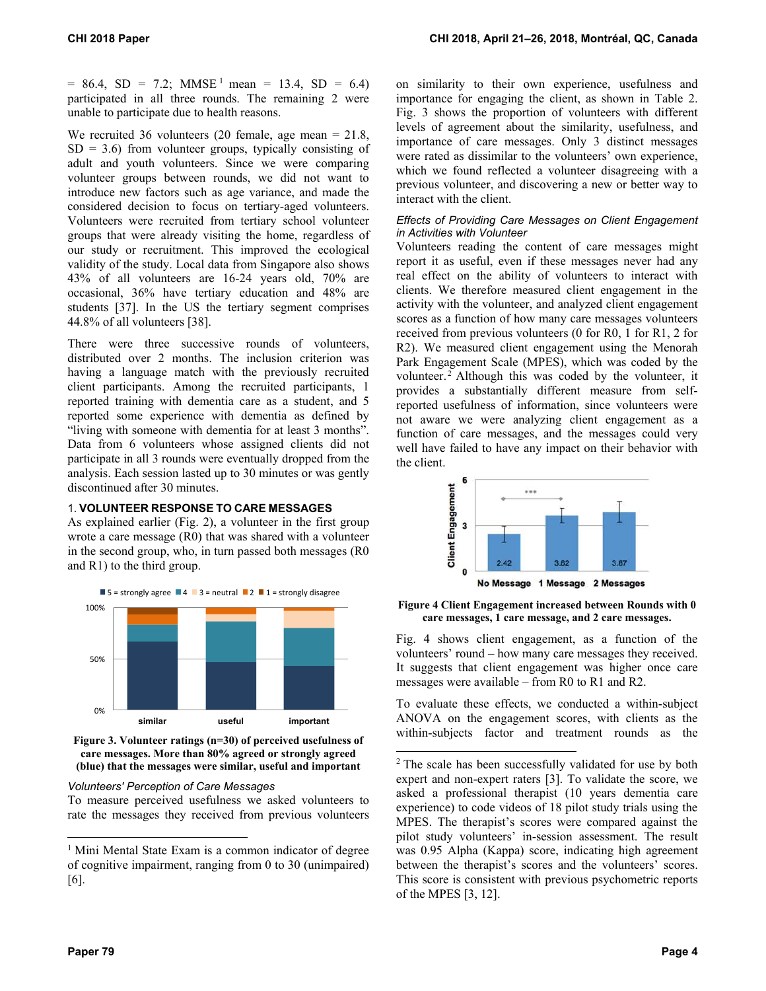$= 86.4$ , SD = 7.2; MMSE<sup>1</sup> mean = 13.4, SD = 6.4) participated in all three rounds. The remaining 2 were unable to participate due to health reasons.

We recruited 36 volunteers (20 female, age mean = 21.8,  $SD = 3.6$ ) from volunteer groups, typically consisting of adult and youth volunteers. Since we were comparing volunteer groups between rounds, we did not want to introduce new factors such as age variance, and made the considered decision to focus on tertiary-aged volunteers. Volunteers were recruited from tertiary school volunteer groups that were already visiting the home, regardless of our study or recruitment. This improved the ecological validity of the study. Local data from Singapore also shows 43% of all volunteers are 16-24 years old, 70% are occasional, 36% have tertiary education and 48% are students [37]. In the US the tertiary segment comprises 44.8% of all volunteers [38].

There were three successive rounds of volunteers, distributed over 2 months. The inclusion criterion was having a language match with the previously recruited client participants. Among the recruited participants, 1 reported training with dementia care as a student, and 5 reported some experience with dementia as defined by "living with someone with dementia for at least 3 months". Data from 6 volunteers whose assigned clients did not participate in all 3 rounds were eventually dropped from the analysis. Each session lasted up to 30 minutes or was gently discontinued after 30 minutes.

# 1. **VOLUNTEER RESPONSE TO CARE MESSAGES**

As explained earlier (Fig. 2), a volunteer in the first group wrote a care message (R0) that was shared with a volunteer in the second group, who, in turn passed both messages (R0 and R1) to the third group.





## *Volunteers' Perception of Care Messages*

To measure perceived usefulness we asked volunteers to rate the messages they received from previous volunteers on similarity to their own experience, usefulness and importance for engaging the client, as shown in Table 2. Fig. 3 shows the proportion of volunteers with different levels of agreement about the similarity, usefulness, and importance of care messages. Only 3 distinct messages were rated as dissimilar to the volunteers' own experience, which we found reflected a volunteer disagreeing with a previous volunteer, and discovering a new or better way to interact with the client.

## *Effects of Providing Care Messages on Client Engagement in Activities with Volunteer*

Volunteers reading the content of care messages might report it as useful, even if these messages never had any real effect on the ability of volunteers to interact with clients. We therefore measured client engagement in the activity with the volunteer, and analyzed client engagement scores as a function of how many care messages volunteers received from previous volunteers (0 for R0, 1 for R1, 2 for R2). We measured client engagement using the Menorah Park Engagement Scale (MPES), which was coded by the volunteer.2 Although this was coded by the volunteer, it provides a substantially different measure from selfreported usefulness of information, since volunteers were not aware we were analyzing client engagement as a function of care messages, and the messages could very well have failed to have any impact on their behavior with the client.



**Figure 4 Client Engagement increased between Rounds with 0 care messages, 1 care message, and 2 care messages.**

Fig. 4 shows client engagement, as a function of the volunteers' round – how many care messages they received. It suggests that client engagement was higher once care messages were available – from R0 to R1 and R2.

To evaluate these effects, we conducted a within-subject ANOVA on the engagement scores, with clients as the within-subjects factor and treatment rounds as the

l

 $\overline{a}$ 

<sup>&</sup>lt;sup>1</sup> Mini Mental State Exam is a common indicator of degree of cognitive impairment, ranging from 0 to 30 (unimpaired) [6].

<sup>&</sup>lt;sup>2</sup> The scale has been successfully validated for use by both expert and non-expert raters [3]. To validate the score, we asked a professional therapist (10 years dementia care experience) to code videos of 18 pilot study trials using the MPES. The therapist's scores were compared against the pilot study volunteers' in-session assessment. The result was 0.95 Alpha (Kappa) score, indicating high agreement between the therapist's scores and the volunteers' scores. This score is consistent with previous psychometric reports of the MPES [3, 12].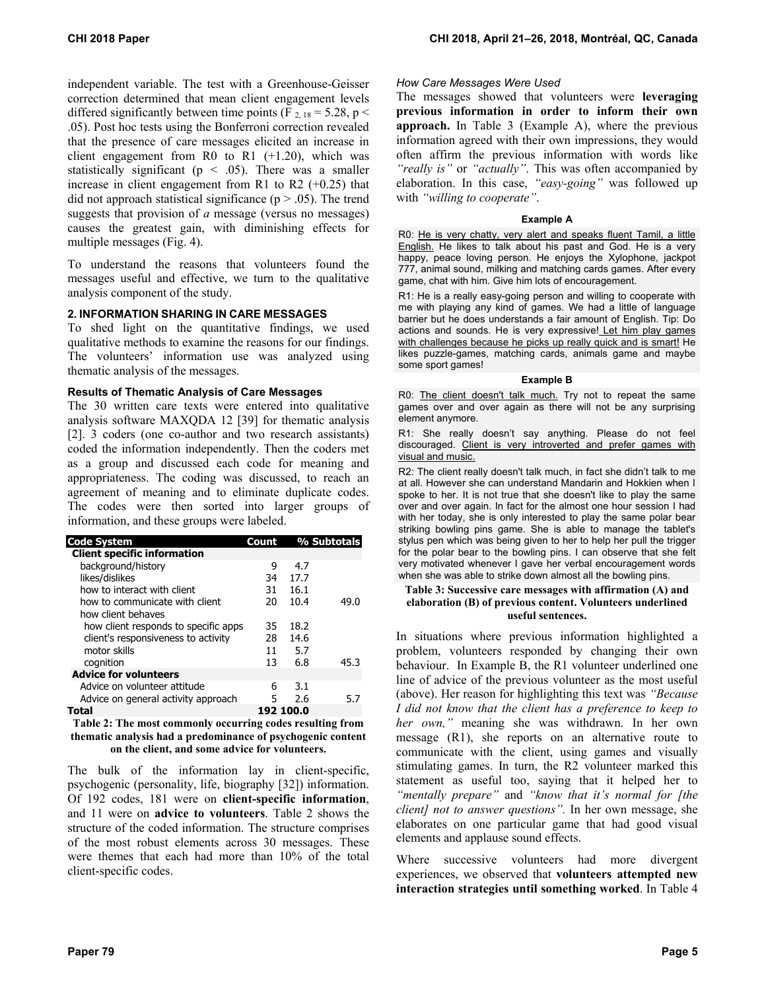independent variable. The test with a Greenhouse-Geisser correction determined that mean client engagement levels differed significantly between time points (F  $_{2, 18} = 5.28$ , p < .05). Post hoc tests using the Bonferroni correction revealed that the presence of care messages elicited an increase in client engagement from R0 to R1  $(+1.20)$ , which was statistically significant ( $p < .05$ ). There was a smaller increase in client engagement from R1 to R2 (+0.25) that did not approach statistical significance ( $p > .05$ ). The trend suggests that provision of *a* message (versus no messages) causes the greatest gain, with diminishing effects for multiple messages (Fig. 4).

To understand the reasons that volunteers found the messages useful and effective, we turn to the qualitative analysis component of the study.

# **2. INFORMATION SHARING IN CARE MESSAGES**

To shed light on the quantitative findings, we used qualitative methods to examine the reasons for our findings. The volunteers' information use was analyzed using thematic analysis of the messages.

## **Results of Thematic Analysis of Care Messages**

The 30 written care texts were entered into qualitative analysis software MAXQDA 12 [39] for thematic analysis [2]. 3 coders (one co-author and two research assistants) coded the information independently. Then the coders met as a group and discussed each code for meaning and appropriateness. The coding was discussed, to reach an agreement of meaning and to eliminate duplicate codes. The codes were then sorted into larger groups of information, and these groups were labeled.

| <b>Code System</b>                   | Count |           | % Subtotals |
|--------------------------------------|-------|-----------|-------------|
| <b>Client specific information</b>   |       |           |             |
| background/history                   | 9     | 4.7       |             |
| likes/dislikes                       | 34    | 17.7      |             |
| how to interact with client          | 31    | 16.1      |             |
| how to communicate with client       | 20    | 10.4      | 49.0        |
| how client behaves                   |       |           |             |
| how client responds to specific apps | 35    | 18.2      |             |
| client's responsiveness to activity  | 28    | 14.6      |             |
| motor skills                         | 11    | 5.7       |             |
| cognition                            | 13    | 6.8       | 45.3        |
| <b>Advice for volunteers</b>         |       |           |             |
| Advice on volunteer attitude         | 6     | 3.1       |             |
| Advice on general activity approach  | 5     | 2.6       | 5.7         |
| Total                                |       | 192 100.0 |             |

**Table 2: The most commonly occurring codes resulting from thematic analysis had a predominance of psychogenic content on the client, and some advice for volunteers.** 

The bulk of the information lay in client-specific, psychogenic (personality, life, biography [32]) information. Of 192 codes, 181 were on **client-specific information**, and 11 were on **advice to volunteers**. Table 2 shows the structure of the coded information. The structure comprises of the most robust elements across 30 messages. These were themes that each had more than 10% of the total client-specific codes.

## *How Care Messages Were Used*

The messages showed that volunteers were **leveraging previous information in order to inform their own approach.** In Table 3 (Example A), where the previous information agreed with their own impressions, they would often affirm the previous information with words like *"really is"* or *"actually"*. This was often accompanied by elaboration. In this case, *"easy-going"* was followed up with *"willing to cooperate"*.

#### **Example A**

R0: He is very chatty, very alert and speaks fluent Tamil, a little English. He likes to talk about his past and God. He is a very happy, peace loving person. He enjoys the Xylophone, jackpot 777, animal sound, milking and matching cards games. After every game, chat with him. Give him lots of encouragement.

R1: He is a really easy-going person and willing to cooperate with me with playing any kind of games. We had a little of language barrier but he does understands a fair amount of English. Tip: Do actions and sounds. He is very expressive! Let him play games with challenges because he picks up really quick and is smart! He likes puzzle-games, matching cards, animals game and maybe some sport games!

#### **Example B**

R0: The client doesn't talk much. Try not to repeat the same games over and over again as there will not be any surprising element anymore.

R1: She really doesn't say anything. Please do not feel discouraged. Client is very introverted and prefer games with visual and music.

R2: The client really doesn't talk much, in fact she didn't talk to me at all. However she can understand Mandarin and Hokkien when I spoke to her. It is not true that she doesn't like to play the same over and over again. In fact for the almost one hour session I had with her today, she is only interested to play the same polar bear striking bowling pins game. She is able to manage the tablet's stylus pen which was being given to her to help her pull the trigger for the polar bear to the bowling pins. I can observe that she felt very motivated whenever I gave her verbal encouragement words when she was able to strike down almost all the bowling pins.

#### **Table 3: Successive care messages with affirmation (A) and elaboration (B) of previous content. Volunteers underlined useful sentences.**

In situations where previous information highlighted a problem, volunteers responded by changing their own behaviour. In Example B, the R1 volunteer underlined one line of advice of the previous volunteer as the most useful (above). Her reason for highlighting this text was *"Because I did not know that the client has a preference to keep to her own,"* meaning she was withdrawn. In her own message (R1), she reports on an alternative route to communicate with the client, using games and visually stimulating games. In turn, the R2 volunteer marked this statement as useful too, saying that it helped her to *"mentally prepare"* and *"know that it's normal for [the client] not to answer questions".* In her own message, she elaborates on one particular game that had good visual elements and applause sound effects.

Where successive volunteers had more divergent experiences, we observed that **volunteers attempted new interaction strategies until something worked**. In Table 4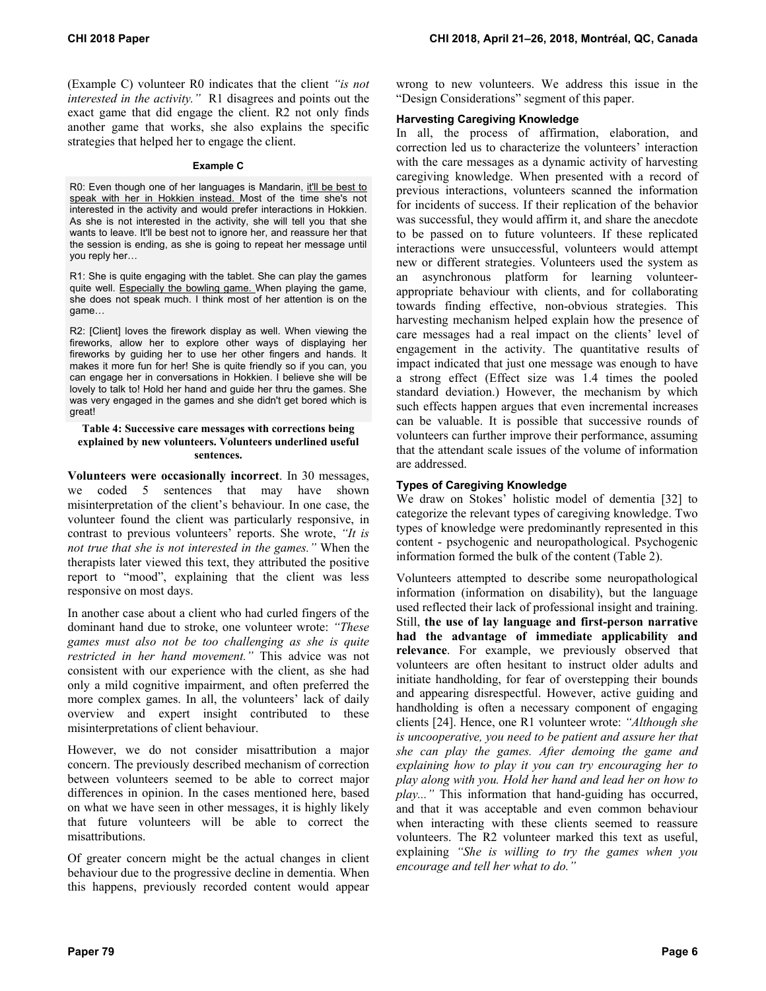(Example C) volunteer R0 indicates that the client *"is not interested in the activity."* R1 disagrees and points out the exact game that did engage the client. R2 not only finds another game that works, she also explains the specific strategies that helped her to engage the client.

#### **Example C**

R0: Even though one of her languages is Mandarin, it'll be best to speak with her in Hokkien instead. Most of the time she's not interested in the activity and would prefer interactions in Hokkien. As she is not interested in the activity, she will tell you that she wants to leave. It'll be best not to ignore her, and reassure her that the session is ending, as she is going to repeat her message until you reply her…

R1: She is quite engaging with the tablet. She can play the games quite well. Especially the bowling game. When playing the game, she does not speak much. I think most of her attention is on the game…

R2: [Client] loves the firework display as well. When viewing the fireworks, allow her to explore other ways of displaying her fireworks by guiding her to use her other fingers and hands. It makes it more fun for her! She is quite friendly so if you can, you can engage her in conversations in Hokkien. I believe she will be lovely to talk to! Hold her hand and guide her thru the games. She was very engaged in the games and she didn't get bored which is great!

## **Table 4: Successive care messages with corrections being explained by new volunteers. Volunteers underlined useful sentences.**

**Volunteers were occasionally incorrect**. In 30 messages, we coded 5 sentences that may have shown misinterpretation of the client's behaviour. In one case, the volunteer found the client was particularly responsive, in contrast to previous volunteers' reports. She wrote, *"It is not true that she is not interested in the games."* When the therapists later viewed this text, they attributed the positive report to "mood", explaining that the client was less responsive on most days.

In another case about a client who had curled fingers of the dominant hand due to stroke, one volunteer wrote: *"These games must also not be too challenging as she is quite restricted in her hand movement."* This advice was not consistent with our experience with the client, as she had only a mild cognitive impairment, and often preferred the more complex games. In all, the volunteers' lack of daily overview and expert insight contributed to these misinterpretations of client behaviour.

However, we do not consider misattribution a major concern. The previously described mechanism of correction between volunteers seemed to be able to correct major differences in opinion. In the cases mentioned here, based on what we have seen in other messages, it is highly likely that future volunteers will be able to correct the misattributions.

Of greater concern might be the actual changes in client behaviour due to the progressive decline in dementia. When this happens, previously recorded content would appear

wrong to new volunteers. We address this issue in the "Design Considerations" segment of this paper.

## **Harvesting Caregiving Knowledge**

In all, the process of affirmation, elaboration, and correction led us to characterize the volunteers' interaction with the care messages as a dynamic activity of harvesting caregiving knowledge. When presented with a record of previous interactions, volunteers scanned the information for incidents of success. If their replication of the behavior was successful, they would affirm it, and share the anecdote to be passed on to future volunteers. If these replicated interactions were unsuccessful, volunteers would attempt new or different strategies. Volunteers used the system as an asynchronous platform for learning volunteerappropriate behaviour with clients, and for collaborating towards finding effective, non-obvious strategies. This harvesting mechanism helped explain how the presence of care messages had a real impact on the clients' level of engagement in the activity. The quantitative results of impact indicated that just one message was enough to have a strong effect (Effect size was 1.4 times the pooled standard deviation.) However, the mechanism by which such effects happen argues that even incremental increases can be valuable. It is possible that successive rounds of volunteers can further improve their performance, assuming that the attendant scale issues of the volume of information are addressed.

# **Types of Caregiving Knowledge**

We draw on Stokes' holistic model of dementia [32] to categorize the relevant types of caregiving knowledge. Two types of knowledge were predominantly represented in this content - psychogenic and neuropathological. Psychogenic information formed the bulk of the content (Table 2).

Volunteers attempted to describe some neuropathological information (information on disability), but the language used reflected their lack of professional insight and training. Still, **the use of lay language and first-person narrative had the advantage of immediate applicability and relevance**. For example, we previously observed that volunteers are often hesitant to instruct older adults and initiate handholding, for fear of overstepping their bounds and appearing disrespectful. However, active guiding and handholding is often a necessary component of engaging clients [24]. Hence, one R1 volunteer wrote: *"Although she is uncooperative, you need to be patient and assure her that she can play the games. After demoing the game and explaining how to play it you can try encouraging her to play along with you. Hold her hand and lead her on how to play..."* This information that hand-guiding has occurred, and that it was acceptable and even common behaviour when interacting with these clients seemed to reassure volunteers. The R2 volunteer marked this text as useful, explaining *"She is willing to try the games when you encourage and tell her what to do."*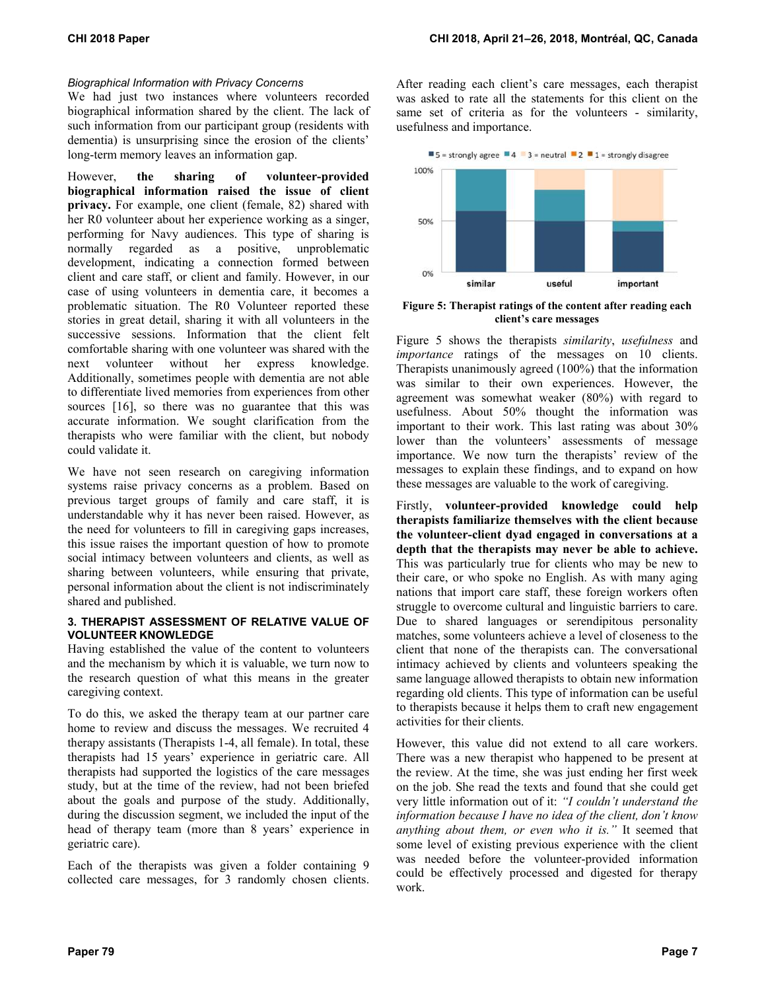# *Biographical Information with Privacy Concerns*

We had just two instances where volunteers recorded biographical information shared by the client. The lack of such information from our participant group (residents with dementia) is unsurprising since the erosion of the clients' long-term memory leaves an information gap.

However, **the sharing of volunteer-provided biographical information raised the issue of client privacy.** For example, one client (female, 82) shared with her R0 volunteer about her experience working as a singer, performing for Navy audiences. This type of sharing is normally regarded as a positive, unproblematic development, indicating a connection formed between client and care staff, or client and family. However, in our case of using volunteers in dementia care, it becomes a problematic situation. The R0 Volunteer reported these stories in great detail, sharing it with all volunteers in the successive sessions. Information that the client felt comfortable sharing with one volunteer was shared with the next volunteer without her express knowledge. Additionally, sometimes people with dementia are not able to differentiate lived memories from experiences from other sources [16], so there was no guarantee that this was accurate information. We sought clarification from the therapists who were familiar with the client, but nobody could validate it.

We have not seen research on caregiving information systems raise privacy concerns as a problem. Based on previous target groups of family and care staff, it is understandable why it has never been raised. However, as the need for volunteers to fill in caregiving gaps increases, this issue raises the important question of how to promote social intimacy between volunteers and clients, as well as sharing between volunteers, while ensuring that private, personal information about the client is not indiscriminately shared and published.

## **3. THERAPIST ASSESSMENT OF RELATIVE VALUE OF VOLUNTEER KNOWLEDGE**

Having established the value of the content to volunteers and the mechanism by which it is valuable, we turn now to the research question of what this means in the greater caregiving context.

To do this, we asked the therapy team at our partner care home to review and discuss the messages. We recruited 4 therapy assistants (Therapists 1-4, all female). In total, these therapists had 15 years' experience in geriatric care. All therapists had supported the logistics of the care messages study, but at the time of the review, had not been briefed about the goals and purpose of the study. Additionally, during the discussion segment, we included the input of the head of therapy team (more than 8 years' experience in geriatric care).

Each of the therapists was given a folder containing 9 collected care messages, for 3 randomly chosen clients. After reading each client's care messages, each therapist was asked to rate all the statements for this client on the same set of criteria as for the volunteers - similarity, usefulness and importance.



**Figure 5: Therapist ratings of the content after reading each client's care messages**

Figure 5 shows the therapists *similarity*, *usefulness* and *importance* ratings of the messages on 10 clients. Therapists unanimously agreed (100%) that the information was similar to their own experiences. However, the agreement was somewhat weaker (80%) with regard to usefulness. About 50% thought the information was important to their work. This last rating was about 30% lower than the volunteers' assessments of message importance. We now turn the therapists' review of the messages to explain these findings, and to expand on how these messages are valuable to the work of caregiving.

Firstly, **volunteer-provided knowledge could help therapists familiarize themselves with the client because the volunteer-client dyad engaged in conversations at a depth that the therapists may never be able to achieve.** This was particularly true for clients who may be new to their care, or who spoke no English. As with many aging nations that import care staff, these foreign workers often struggle to overcome cultural and linguistic barriers to care. Due to shared languages or serendipitous personality matches, some volunteers achieve a level of closeness to the client that none of the therapists can. The conversational intimacy achieved by clients and volunteers speaking the same language allowed therapists to obtain new information regarding old clients. This type of information can be useful to therapists because it helps them to craft new engagement activities for their clients.

However, this value did not extend to all care workers. There was a new therapist who happened to be present at the review. At the time, she was just ending her first week on the job. She read the texts and found that she could get very little information out of it: *"I couldn't understand the information because I have no idea of the client, don't know anything about them, or even who it is."* It seemed that some level of existing previous experience with the client was needed before the volunteer-provided information could be effectively processed and digested for therapy work.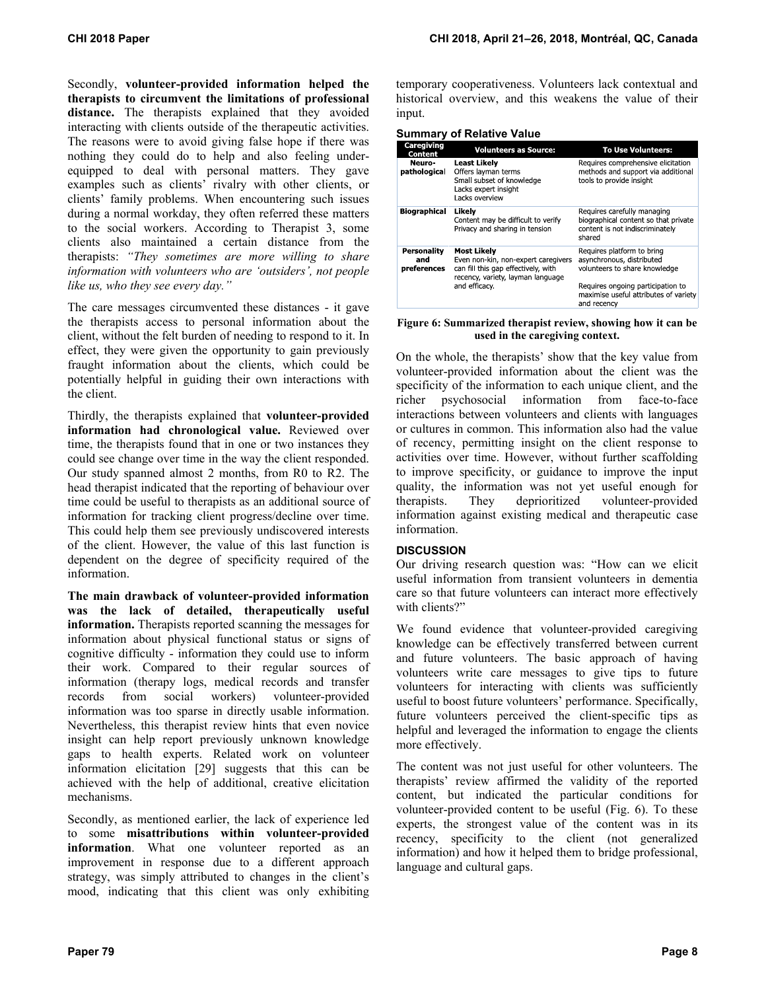Secondly, **volunteer-provided information helped the therapists to circumvent the limitations of professional**  distance. The therapists explained that they avoided interacting with clients outside of the therapeutic activities. The reasons were to avoid giving false hope if there was nothing they could do to help and also feeling underequipped to deal with personal matters. They gave examples such as clients' rivalry with other clients, or clients' family problems. When encountering such issues during a normal workday, they often referred these matters to the social workers. According to Therapist 3, some clients also maintained a certain distance from the therapists: *"They sometimes are more willing to share information with volunteers who are 'outsiders', not people like us, who they see every day."*

The care messages circumvented these distances - it gave the therapists access to personal information about the client, without the felt burden of needing to respond to it. In effect, they were given the opportunity to gain previously fraught information about the clients, which could be potentially helpful in guiding their own interactions with the client.

Thirdly, the therapists explained that **volunteer-provided information had chronological value.** Reviewed over time, the therapists found that in one or two instances they could see change over time in the way the client responded. Our study spanned almost 2 months, from R0 to R2. The head therapist indicated that the reporting of behaviour over time could be useful to therapists as an additional source of information for tracking client progress/decline over time. This could help them see previously undiscovered interests of the client. However, the value of this last function is dependent on the degree of specificity required of the information.

**The main drawback of volunteer-provided information was the lack of detailed, therapeutically useful information.** Therapists reported scanning the messages for information about physical functional status or signs of cognitive difficulty - information they could use to inform their work. Compared to their regular sources of information (therapy logs, medical records and transfer records from social workers) volunteer-provided information was too sparse in directly usable information. Nevertheless, this therapist review hints that even novice insight can help report previously unknown knowledge gaps to health experts. Related work on volunteer information elicitation [29] suggests that this can be achieved with the help of additional, creative elicitation mechanisms.

Secondly, as mentioned earlier, the lack of experience led to some **misattributions within volunteer-provided information**. What one volunteer reported as an improvement in response due to a different approach strategy, was simply attributed to changes in the client's mood, indicating that this client was only exhibiting

temporary cooperativeness. Volunteers lack contextual and historical overview, and this weakens the value of their input.

**Summary of Relative Value** 

|                                   | .<br>5.1551417574140                                                                                                                  |                                                                                                                  |  |  |  |
|-----------------------------------|---------------------------------------------------------------------------------------------------------------------------------------|------------------------------------------------------------------------------------------------------------------|--|--|--|
| Caregiving<br>Content             | <b>Volunteers as Source:</b>                                                                                                          | <b>To Use Volunteers:</b>                                                                                        |  |  |  |
| Neuro-<br>pathological            | Least Likely<br>Offers layman terms<br>Small subset of knowledge<br>Lacks expert insight<br>Lacks overview                            | Requires comprehensive elicitation<br>methods and support via additional<br>tools to provide insight             |  |  |  |
| <b>Biographical</b>               | Likelv<br>Content may be difficult to verify<br>Privacy and sharing in tension                                                        | Requires carefully managing<br>biographical content so that private<br>content is not indiscriminately<br>shared |  |  |  |
| Personality<br>and<br>preferences | <b>Most Likely</b><br>Even non-kin, non-expert caregivers<br>can fill this gap effectively, with<br>recency, variety, layman language | Requires platform to bring<br>asynchronous, distributed<br>volunteers to share knowledge                         |  |  |  |
|                                   | and efficacy.                                                                                                                         | Requires ongoing participation to<br>maximise useful attributes of variety<br>and recency                        |  |  |  |

**Figure 6: Summarized therapist review, showing how it can be used in the caregiving context.** 

On the whole, the therapists' show that the key value from volunteer-provided information about the client was the specificity of the information to each unique client, and the richer psychosocial information from face-to-face interactions between volunteers and clients with languages or cultures in common. This information also had the value of recency, permitting insight on the client response to activities over time. However, without further scaffolding to improve specificity, or guidance to improve the input quality, the information was not yet useful enough for therapists. They deprioritized volunteer-provided information against existing medical and therapeutic case information.

# **DISCUSSION**

Our driving research question was: "How can we elicit useful information from transient volunteers in dementia care so that future volunteers can interact more effectively with clients?"

We found evidence that volunteer-provided caregiving knowledge can be effectively transferred between current and future volunteers. The basic approach of having volunteers write care messages to give tips to future volunteers for interacting with clients was sufficiently useful to boost future volunteers' performance. Specifically, future volunteers perceived the client-specific tips as helpful and leveraged the information to engage the clients more effectively.

The content was not just useful for other volunteers. The therapists' review affirmed the validity of the reported content, but indicated the particular conditions for volunteer-provided content to be useful (Fig. 6). To these experts, the strongest value of the content was in its recency, specificity to the client (not generalized information) and how it helped them to bridge professional, language and cultural gaps.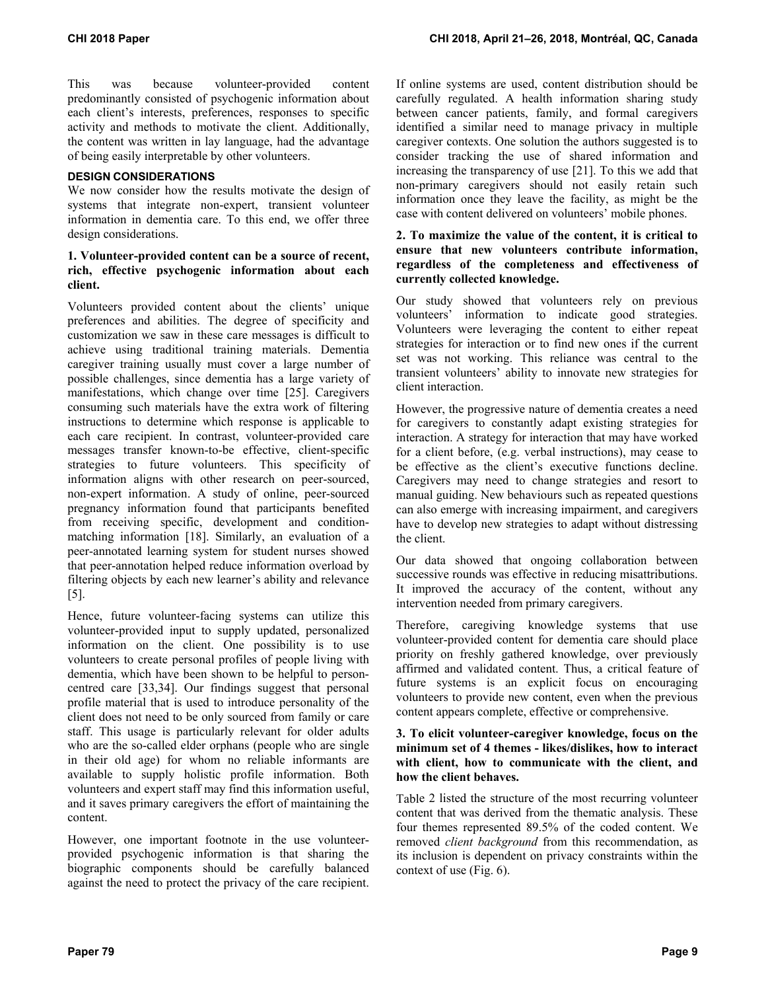This was because volunteer-provided content predominantly consisted of psychogenic information about each client's interests, preferences, responses to specific activity and methods to motivate the client. Additionally, the content was written in lay language, had the advantage of being easily interpretable by other volunteers.

# **DESIGN CONSIDERATIONS**

We now consider how the results motivate the design of systems that integrate non-expert, transient volunteer information in dementia care. To this end, we offer three design considerations.

# **1. Volunteer-provided content can be a source of recent, rich, effective psychogenic information about each client.**

Volunteers provided content about the clients' unique preferences and abilities. The degree of specificity and customization we saw in these care messages is difficult to achieve using traditional training materials. Dementia caregiver training usually must cover a large number of possible challenges, since dementia has a large variety of manifestations, which change over time [25]. Caregivers consuming such materials have the extra work of filtering instructions to determine which response is applicable to each care recipient. In contrast, volunteer-provided care messages transfer known-to-be effective, client-specific strategies to future volunteers. This specificity of information aligns with other research on peer-sourced, non-expert information. A study of online, peer-sourced pregnancy information found that participants benefited from receiving specific, development and conditionmatching information [18]. Similarly, an evaluation of a peer-annotated learning system for student nurses showed that peer-annotation helped reduce information overload by filtering objects by each new learner's ability and relevance [5].

Hence, future volunteer-facing systems can utilize this volunteer-provided input to supply updated, personalized information on the client. One possibility is to use volunteers to create personal profiles of people living with dementia, which have been shown to be helpful to personcentred care [33,34]. Our findings suggest that personal profile material that is used to introduce personality of the client does not need to be only sourced from family or care staff. This usage is particularly relevant for older adults who are the so-called elder orphans (people who are single in their old age) for whom no reliable informants are available to supply holistic profile information. Both volunteers and expert staff may find this information useful, and it saves primary caregivers the effort of maintaining the content.

However, one important footnote in the use volunteerprovided psychogenic information is that sharing the biographic components should be carefully balanced against the need to protect the privacy of the care recipient.

If online systems are used, content distribution should be carefully regulated. A health information sharing study between cancer patients, family, and formal caregivers identified a similar need to manage privacy in multiple caregiver contexts. One solution the authors suggested is to consider tracking the use of shared information and increasing the transparency of use [21]. To this we add that non-primary caregivers should not easily retain such information once they leave the facility, as might be the case with content delivered on volunteers' mobile phones.

# **2. To maximize the value of the content, it is critical to ensure that new volunteers contribute information, regardless of the completeness and effectiveness of currently collected knowledge.**

Our study showed that volunteers rely on previous volunteers' information to indicate good strategies. Volunteers were leveraging the content to either repeat strategies for interaction or to find new ones if the current set was not working. This reliance was central to the transient volunteers' ability to innovate new strategies for client interaction.

However, the progressive nature of dementia creates a need for caregivers to constantly adapt existing strategies for interaction. A strategy for interaction that may have worked for a client before, (e.g. verbal instructions), may cease to be effective as the client's executive functions decline. Caregivers may need to change strategies and resort to manual guiding. New behaviours such as repeated questions can also emerge with increasing impairment, and caregivers have to develop new strategies to adapt without distressing the client.

Our data showed that ongoing collaboration between successive rounds was effective in reducing misattributions. It improved the accuracy of the content, without any intervention needed from primary caregivers.

Therefore, caregiving knowledge systems that use volunteer-provided content for dementia care should place priority on freshly gathered knowledge, over previously affirmed and validated content. Thus, a critical feature of future systems is an explicit focus on encouraging volunteers to provide new content, even when the previous content appears complete, effective or comprehensive.

# **3. To elicit volunteer-caregiver knowledge, focus on the minimum set of 4 themes - likes/dislikes, how to interact with client, how to communicate with the client, and how the client behaves.**

Table 2 listed the structure of the most recurring volunteer content that was derived from the thematic analysis. These four themes represented 89.5% of the coded content. We removed *client background* from this recommendation, as its inclusion is dependent on privacy constraints within the context of use (Fig. 6).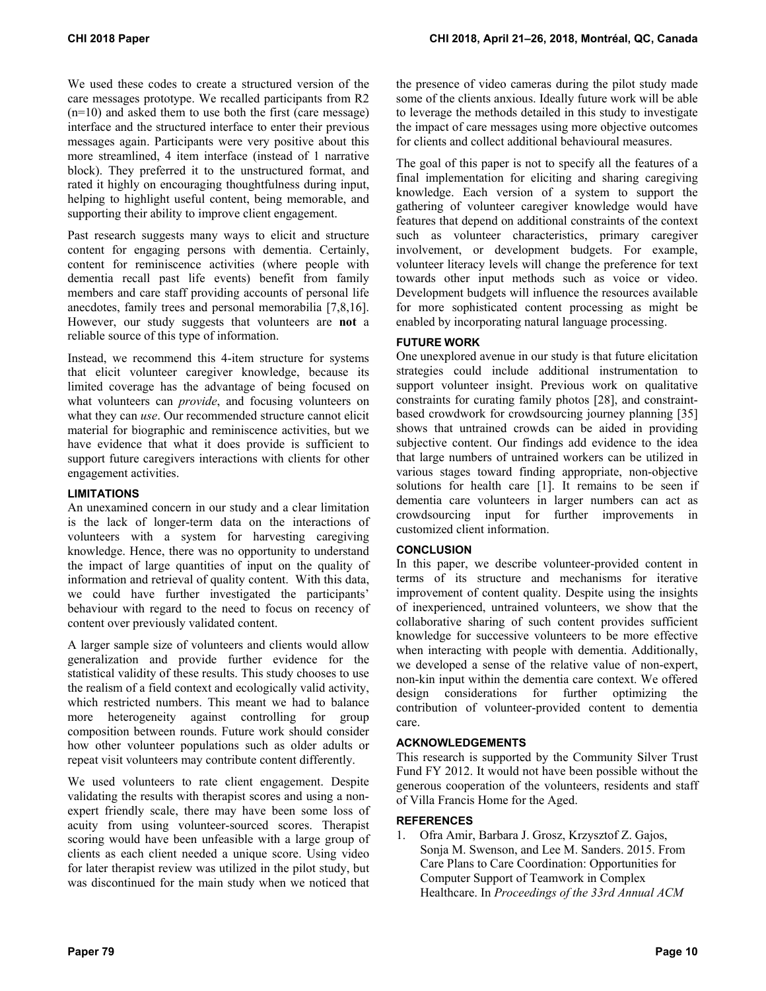We used these codes to create a structured version of the care messages prototype. We recalled participants from R2 (n=10) and asked them to use both the first (care message) interface and the structured interface to enter their previous messages again. Participants were very positive about this more streamlined, 4 item interface (instead of 1 narrative block). They preferred it to the unstructured format, and rated it highly on encouraging thoughtfulness during input, helping to highlight useful content, being memorable, and supporting their ability to improve client engagement.

Past research suggests many ways to elicit and structure content for engaging persons with dementia. Certainly, content for reminiscence activities (where people with dementia recall past life events) benefit from family members and care staff providing accounts of personal life anecdotes, family trees and personal memorabilia [7,8,16]. However, our study suggests that volunteers are **not** a reliable source of this type of information.

Instead, we recommend this 4-item structure for systems that elicit volunteer caregiver knowledge, because its limited coverage has the advantage of being focused on what volunteers can *provide*, and focusing volunteers on what they can *use*. Our recommended structure cannot elicit material for biographic and reminiscence activities, but we have evidence that what it does provide is sufficient to support future caregivers interactions with clients for other engagement activities.

# **LIMITATIONS**

An unexamined concern in our study and a clear limitation is the lack of longer-term data on the interactions of volunteers with a system for harvesting caregiving knowledge. Hence, there was no opportunity to understand the impact of large quantities of input on the quality of information and retrieval of quality content. With this data, we could have further investigated the participants' behaviour with regard to the need to focus on recency of content over previously validated content.

A larger sample size of volunteers and clients would allow generalization and provide further evidence for the statistical validity of these results. This study chooses to use the realism of a field context and ecologically valid activity, which restricted numbers. This meant we had to balance more heterogeneity against controlling for group composition between rounds. Future work should consider how other volunteer populations such as older adults or repeat visit volunteers may contribute content differently.

We used volunteers to rate client engagement. Despite validating the results with therapist scores and using a nonexpert friendly scale, there may have been some loss of acuity from using volunteer-sourced scores. Therapist scoring would have been unfeasible with a large group of clients as each client needed a unique score. Using video for later therapist review was utilized in the pilot study, but was discontinued for the main study when we noticed that the presence of video cameras during the pilot study made some of the clients anxious. Ideally future work will be able to leverage the methods detailed in this study to investigate the impact of care messages using more objective outcomes for clients and collect additional behavioural measures.

The goal of this paper is not to specify all the features of a final implementation for eliciting and sharing caregiving knowledge. Each version of a system to support the gathering of volunteer caregiver knowledge would have features that depend on additional constraints of the context such as volunteer characteristics, primary caregiver involvement, or development budgets. For example, volunteer literacy levels will change the preference for text towards other input methods such as voice or video. Development budgets will influence the resources available for more sophisticated content processing as might be enabled by incorporating natural language processing.

# **FUTURE WORK**

One unexplored avenue in our study is that future elicitation strategies could include additional instrumentation to support volunteer insight. Previous work on qualitative constraints for curating family photos [28], and constraintbased crowdwork for crowdsourcing journey planning [35] shows that untrained crowds can be aided in providing subjective content. Our findings add evidence to the idea that large numbers of untrained workers can be utilized in various stages toward finding appropriate, non-objective solutions for health care [1]. It remains to be seen if dementia care volunteers in larger numbers can act as crowdsourcing input for further improvements in customized client information.

# **CONCLUSION**

In this paper, we describe volunteer-provided content in terms of its structure and mechanisms for iterative improvement of content quality. Despite using the insights of inexperienced, untrained volunteers, we show that the collaborative sharing of such content provides sufficient knowledge for successive volunteers to be more effective when interacting with people with dementia. Additionally, we developed a sense of the relative value of non-expert, non-kin input within the dementia care context. We offered design considerations for further optimizing the contribution of volunteer-provided content to dementia care.

# **ACKNOWLEDGEMENTS**

This research is supported by the Community Silver Trust Fund FY 2012. It would not have been possible without the generous cooperation of the volunteers, residents and staff of Villa Francis Home for the Aged.

## **REFERENCES**

1. Ofra Amir, Barbara J. Grosz, Krzysztof Z. Gajos, Sonja M. Swenson, and Lee M. Sanders. 2015. From Care Plans to Care Coordination: Opportunities for Computer Support of Teamwork in Complex Healthcare. In *Proceedings of the 33rd Annual ACM*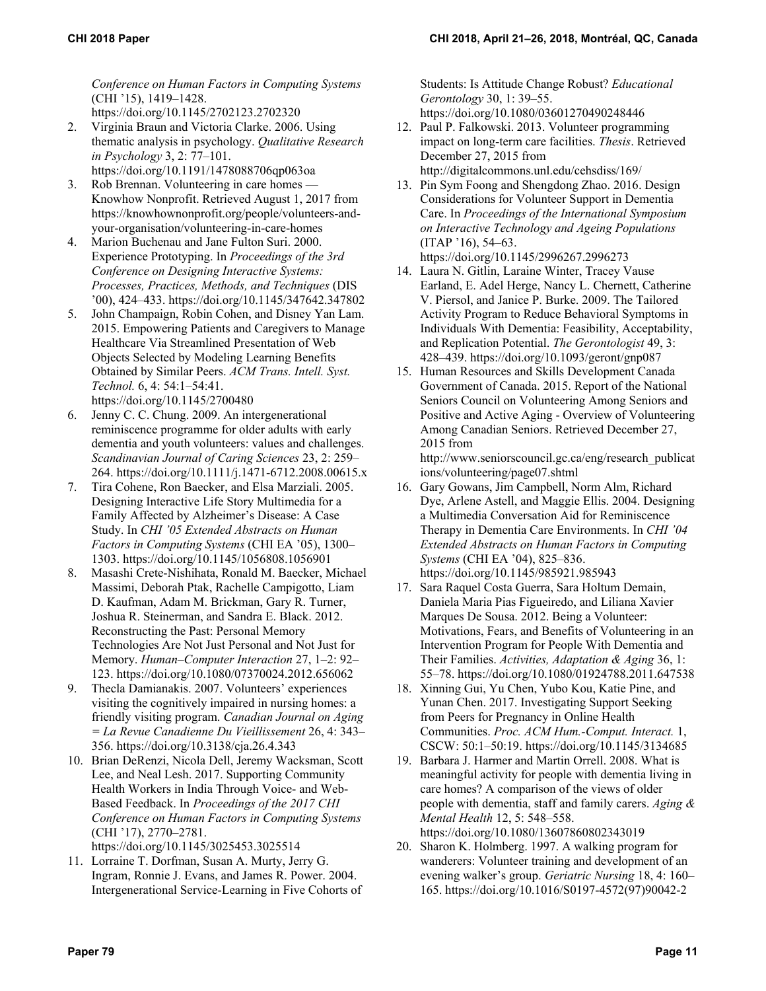*Conference on Human Factors in Computing Systems* (CHI '15), 1419–1428. https://doi.org/10.1145/2702123.2702320

- 2. Virginia Braun and Victoria Clarke. 2006. Using thematic analysis in psychology. *Qualitative Research in Psychology* 3, 2: 77–101.
	- https://doi.org/10.1191/1478088706qp063oa
- 3. Rob Brennan. Volunteering in care homes Knowhow Nonprofit. Retrieved August 1, 2017 from https://knowhownonprofit.org/people/volunteers-andyour-organisation/volunteering-in-care-homes
- Marion Buchenau and Jane Fulton Suri. 2000. Experience Prototyping. In *Proceedings of the 3rd Conference on Designing Interactive Systems: Processes, Practices, Methods, and Techniques* (DIS '00), 424–433. https://doi.org/10.1145/347642.347802
- 5. John Champaign, Robin Cohen, and Disney Yan Lam. 2015. Empowering Patients and Caregivers to Manage Healthcare Via Streamlined Presentation of Web Objects Selected by Modeling Learning Benefits Obtained by Similar Peers. *ACM Trans. Intell. Syst. Technol.* 6, 4: 54:1–54:41. https://doi.org/10.1145/2700480
- Jenny C. C. Chung. 2009. An intergenerational reminiscence programme for older adults with early dementia and youth volunteers: values and challenges. *Scandinavian Journal of Caring Sciences* 23, 2: 259– 264. https://doi.org/10.1111/j.1471-6712.2008.00615.x
- 7. Tira Cohene, Ron Baecker, and Elsa Marziali. 2005. Designing Interactive Life Story Multimedia for a Family Affected by Alzheimer's Disease: A Case Study. In *CHI '05 Extended Abstracts on Human Factors in Computing Systems* (CHI EA '05), 1300– 1303. https://doi.org/10.1145/1056808.1056901
- 8. Masashi Crete-Nishihata, Ronald M. Baecker, Michael Massimi, Deborah Ptak, Rachelle Campigotto, Liam D. Kaufman, Adam M. Brickman, Gary R. Turner, Joshua R. Steinerman, and Sandra E. Black. 2012. Reconstructing the Past: Personal Memory Technologies Are Not Just Personal and Not Just for Memory. *Human–Computer Interaction* 27, 1–2: 92– 123. https://doi.org/10.1080/07370024.2012.656062
- 9. Thecla Damianakis. 2007. Volunteers' experiences visiting the cognitively impaired in nursing homes: a friendly visiting program. *Canadian Journal on Aging = La Revue Canadienne Du Vieillissement* 26, 4: 343– 356. https://doi.org/10.3138/cja.26.4.343
- 10. Brian DeRenzi, Nicola Dell, Jeremy Wacksman, Scott Lee, and Neal Lesh. 2017. Supporting Community Health Workers in India Through Voice- and Web-Based Feedback. In *Proceedings of the 2017 CHI Conference on Human Factors in Computing Systems* (CHI '17), 2770–2781.

https://doi.org/10.1145/3025453.3025514

11. Lorraine T. Dorfman, Susan A. Murty, Jerry G. Ingram, Ronnie J. Evans, and James R. Power. 2004. Intergenerational Service-Learning in Five Cohorts of

Students: Is Attitude Change Robust? *Educational Gerontology* 30, 1: 39–55. https://doi.org/10.1080/03601270490248446

- 12. Paul P. Falkowski. 2013. Volunteer programming impact on long-term care facilities. *Thesis*. Retrieved December 27, 2015 from http://digitalcommons.unl.edu/cehsdiss/169/
- 13. Pin Sym Foong and Shengdong Zhao. 2016. Design Considerations for Volunteer Support in Dementia Care. In *Proceedings of the International Symposium on Interactive Technology and Ageing Populations* (ITAP '16), 54–63. https://doi.org/10.1145/2996267.2996273
- 14. Laura N. Gitlin, Laraine Winter, Tracey Vause Earland, E. Adel Herge, Nancy L. Chernett, Catherine V. Piersol, and Janice P. Burke. 2009. The Tailored Activity Program to Reduce Behavioral Symptoms in Individuals With Dementia: Feasibility, Acceptability, and Replication Potential. *The Gerontologist* 49, 3: 428–439. https://doi.org/10.1093/geront/gnp087
- 15. Human Resources and Skills Development Canada Government of Canada. 2015. Report of the National Seniors Council on Volunteering Among Seniors and Positive and Active Aging - Overview of Volunteering Among Canadian Seniors. Retrieved December 27, 2015 from

http://www.seniorscouncil.gc.ca/eng/research\_publicat ions/volunteering/page07.shtml

- 16. Gary Gowans, Jim Campbell, Norm Alm, Richard Dye, Arlene Astell, and Maggie Ellis. 2004. Designing a Multimedia Conversation Aid for Reminiscence Therapy in Dementia Care Environments. In *CHI '04 Extended Abstracts on Human Factors in Computing Systems* (CHI EA '04), 825–836. https://doi.org/10.1145/985921.985943
- 17. Sara Raquel Costa Guerra, Sara Holtum Demain, Daniela Maria Pias Figueiredo, and Liliana Xavier Marques De Sousa. 2012. Being a Volunteer: Motivations, Fears, and Benefits of Volunteering in an Intervention Program for People With Dementia and Their Families. *Activities, Adaptation & Aging* 36, 1: 55–78. https://doi.org/10.1080/01924788.2011.647538
- 18. Xinning Gui, Yu Chen, Yubo Kou, Katie Pine, and Yunan Chen. 2017. Investigating Support Seeking from Peers for Pregnancy in Online Health Communities. *Proc. ACM Hum.-Comput. Interact.* 1, CSCW: 50:1–50:19. https://doi.org/10.1145/3134685
- 19. Barbara J. Harmer and Martin Orrell. 2008. What is meaningful activity for people with dementia living in care homes? A comparison of the views of older people with dementia, staff and family carers. *Aging & Mental Health* 12, 5: 548–558. https://doi.org/10.1080/13607860802343019
- 20. Sharon K. Holmberg. 1997. A walking program for wanderers: Volunteer training and development of an evening walker's group. *Geriatric Nursing* 18, 4: 160– 165. https://doi.org/10.1016/S0197-4572(97)90042-2